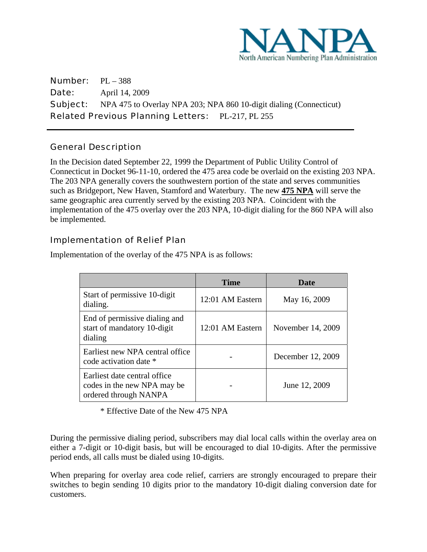

Number: PL – 388 **Date: April 14, 2009 Subject:** NPA 475 to Overlay NPA 203; NPA 860 10-digit dialing (Connecticut) Related Previous Planning Letters: PL-217, PL 255

## General Description

 $\overline{a}$ 

In the Decision dated September 22, 1999 the Department of Public Utility Control of Connecticut in Docket 96-11-10, ordered the 475 area code be overlaid on the existing 203 NPA. The 203 NPA generally covers the southwestern portion of the state and serves communities such as Bridgeport, New Haven, Stamford and Waterbury. The new **475 NPA** will serve the same geographic area currently served by the existing 203 NPA. Coincident with the implementation of the 475 overlay over the 203 NPA, 10-digit dialing for the 860 NPA will also be implemented.

## Implementation of Relief Plan

|                                                                                      | <b>Time</b>      | Date              |
|--------------------------------------------------------------------------------------|------------------|-------------------|
| Start of permissive 10-digit<br>dialing.                                             | 12:01 AM Eastern | May 16, 2009      |
| End of permissive dialing and<br>start of mandatory 10-digit<br>dialing              | 12:01 AM Eastern | November 14, 2009 |
| Earliest new NPA central office<br>code activation date *                            |                  | December 12, 2009 |
| Earliest date central office<br>codes in the new NPA may be<br>ordered through NANPA |                  | June 12, 2009     |

Implementation of the overlay of the 475 NPA is as follows:

\* Effective Date of the New 475 NPA

During the permissive dialing period, subscribers may dial local calls within the overlay area on either a 7-digit or 10-digit basis, but will be encouraged to dial 10-digits. After the permissive period ends, all calls must be dialed using 10-digits.

When preparing for overlay area code relief, carriers are strongly encouraged to prepare their switches to begin sending 10 digits prior to the mandatory 10-digit dialing conversion date for customers.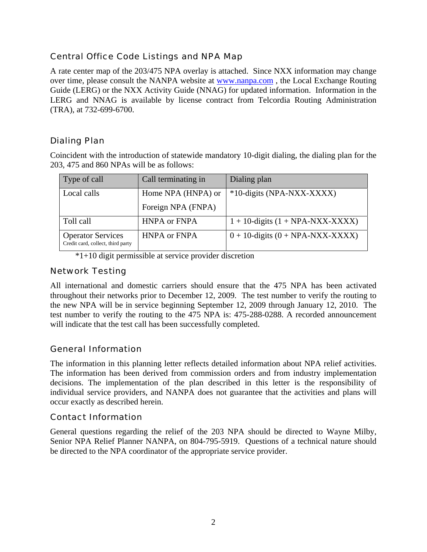## Central Office Code Listings and NPA Map

A rate center map of the 203/475 NPA overlay is attached. Since NXX information may change over time, please consult the NANPA website at www.nanpa.com , the Local Exchange Routing Guide (LERG) or the NXX Activity Guide (NNAG) for updated information. Information in the LERG and NNAG is available by license contract from Telcordia Routing Administration (TRA), at 732-699-6700.

## Dialing Plan

Coincident with the introduction of statewide mandatory 10-digit dialing, the dialing plan for the 203, 475 and 860 NPAs will be as follows:

| Type of call                                                  | Call terminating in | Dialing plan                          |  |
|---------------------------------------------------------------|---------------------|---------------------------------------|--|
| Local calls                                                   | Home NPA (HNPA) or  | *10-digits (NPA-NXX-XXXX)             |  |
|                                                               | Foreign NPA (FNPA)  |                                       |  |
| Toll call                                                     | <b>HNPA or FNPA</b> | $1 + 10$ -digits $(1 + NPA-NXX-XXXX)$ |  |
| <b>Operator Services</b><br>Credit card, collect, third party | <b>HNPA or FNPA</b> | $0 + 10$ -digits $(0 + NPA-NXX-XXXX)$ |  |

\*1+10 digit permissible at service provider discretion

### Network Testing

All international and domestic carriers should ensure that the 475 NPA has been activated throughout their networks prior to December 12, 2009. The test number to verify the routing to the new NPA will be in service beginning September 12, 2009 through January 12, 2010. The test number to verify the routing to the 475 NPA is: 475-288-0288. A recorded announcement will indicate that the test call has been successfully completed.

## General Information

The information in this planning letter reflects detailed information about NPA relief activities. The information has been derived from commission orders and from industry implementation decisions. The implementation of the plan described in this letter is the responsibility of individual service providers, and NANPA does not guarantee that the activities and plans will occur exactly as described herein.

## Contact Information

General questions regarding the relief of the 203 NPA should be directed to Wayne Milby, Senior NPA Relief Planner NANPA, on 804-795-5919. Questions of a technical nature should be directed to the NPA coordinator of the appropriate service provider.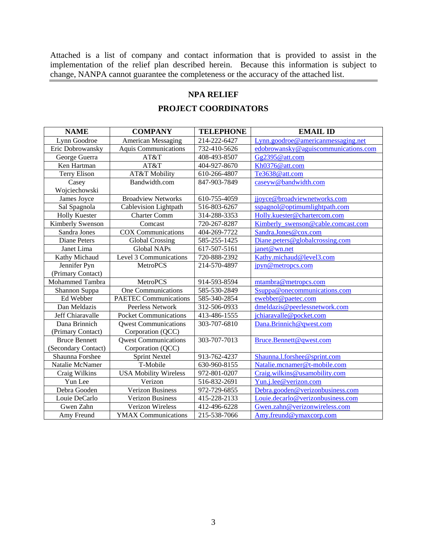Attached is a list of company and contact information that is provided to assist in the implementation of the relief plan described herein. Because this information is subject to change, NANPA cannot guarantee the completeness or the accuracy of the attached list.

# **NPA RELIEF**

#### **PROJECT COORDINATORS**

| <b>NAME</b>          | <b>COMPANY</b>               | <b>TELEPHONE</b> | <b>EMAIL ID</b>                      |
|----------------------|------------------------------|------------------|--------------------------------------|
| Lynn Goodroe         | <b>American Messaging</b>    | 214-222-6427     | Lynn.goodroe@americanmessaging.net   |
| Eric Dobrowansky     | <b>Aquis Communications</b>  | 732-410-5626     | edobrowansky@aguiscommunications.com |
| George Guerra        | AT&T                         | 408-493-8507     | Gg2395@att.com                       |
| Ken Hartman          | AT&T                         | 404-927-8670     | Kh0376@att.com                       |
| <b>Terry Elison</b>  | <b>AT&amp;T Mobility</b>     | 610-266-4807     | Te3638@att.com                       |
| Casey                | Bandwidth.com                | 847-903-7849     | caseyw@bandwidth.com                 |
| Wojciechowski        |                              |                  |                                      |
| James Joyce          | <b>Broadview Networks</b>    | 610-755-4059     | jjoyce@broadviewnetworks.com         |
| Sal Spagnola         | Cablevision Lightpath        | 516-803-6267     | sspagnol@optimumlightpath.com        |
| <b>Holly Kuester</b> | <b>Charter Comm</b>          | 314-288-3353     | Holly.kuester@chartercom.com         |
| Kimberly Swenson     | Comcast                      | 720-267-8287     | Kimberly swenson@cable.comcast.com   |
| Sandra Jones         | <b>COX Communications</b>    | 404-269-7722     | Sandra.Jones@cox.com                 |
| Diane Peters         | <b>Global Crossing</b>       | 585-255-1425     | Diane.peters@globalcrossing.com      |
| Janet Lima           | <b>Global NAPs</b>           | 617-507-5161     | janet@wn.net                         |
| Kathy Michaud        | Level 3 Communications       | 720-888-2392     | Kathy.michaud@level3.com             |
| Jennifer Pyn         | MetroPCS                     | 214-570-4897     | jpyn@metropcs.com                    |
| (Primary Contact)    |                              |                  |                                      |
| Mohammed Tambra      | <b>MetroPCS</b>              | 914-593-8594     | mtambra@metropcs.com                 |
| Shannon Suppa        | <b>One Communications</b>    | 585-530-2849     | Ssuppa@onecommunications.com         |
| Ed Webber            | <b>PAETEC Communications</b> | 585-340-2854     | ewebber@paetec.com                   |
| Dan Meldazis         | Peerless Network             | 312-506-0933     | dmeldazis@peerlessnetwork.com        |
| Jeff Chiaravalle     | <b>Pocket Communications</b> | 413-486-1555     | jchiaravalle@pocket.com              |
| Dana Brinnich        | <b>Owest Communications</b>  | 303-707-6810     | Dana.Brinnich@qwest.com              |
| (Primary Contact)    | Corporation (QCC)            |                  |                                      |
| <b>Bruce Bennett</b> | <b>Qwest Communications</b>  | 303-707-7013     | Bruce.Bennett@qwest.com              |
| (Secondary Contact)  | Corporation (QCC)            |                  |                                      |
| Shaunna Forshee      | <b>Sprint Nextel</b>         | 913-762-4237     | Shaunna.l.forshee@sprint.com         |
| Natalie McNamer      | T-Mobile                     | 630-960-8155     | Natalie.mcnamer@t-mobile.com         |
| Craig Wilkins        | <b>USA</b> Mobility Wireless | 972-801-0207     | Craig.wilkins@usamobility.com        |
| Yun Lee              | Verizon                      | 516-832-2691     | Yun.j.lee@verizon.com                |
| Debra Gooden         | <b>Verizon Business</b>      | 972-729-6855     | Debra.gooden@verizonbusiness.com     |
| Louie DeCarlo        | <b>Verizon Business</b>      | 415-228-2133     | Louie.decarlo@verizonbusiness.com    |
| Gwen Zahn            | Verizon Wireless             | 412-496-6228     | Gwen.zahn@verizonwireless.com        |
| Amy Freund           | <b>YMAX Communications</b>   | 215-538-7066     | Amy.freund@ymaxcorp.com              |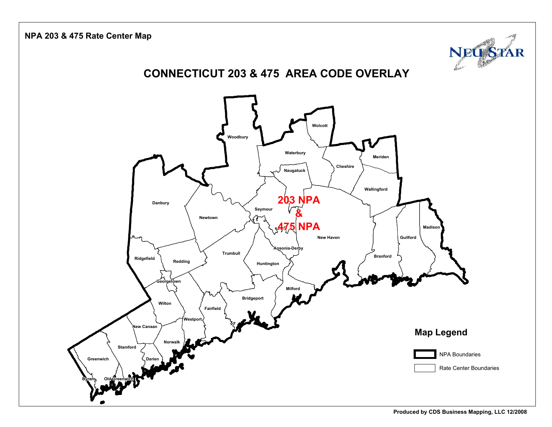